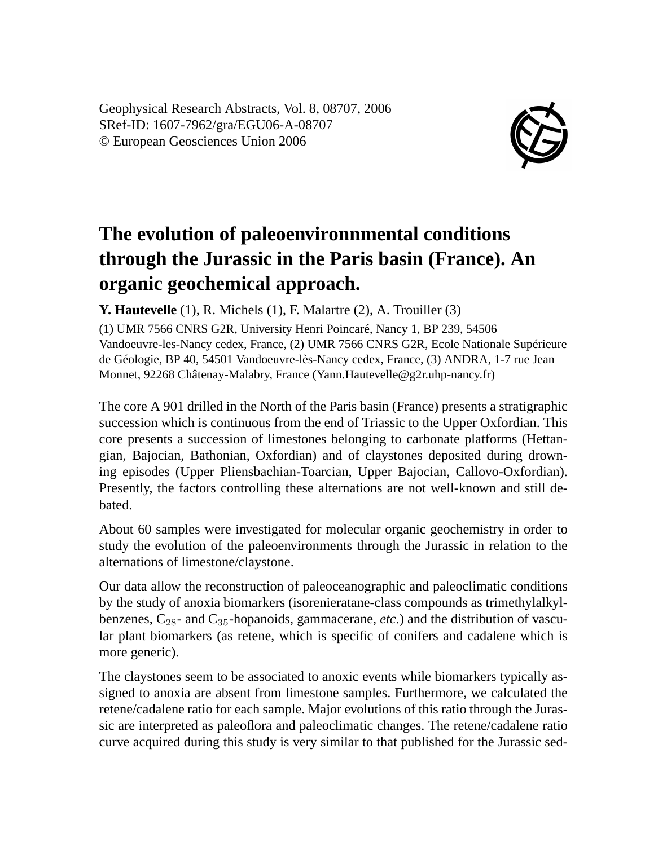Geophysical Research Abstracts, Vol. 8, 08707, 2006 SRef-ID: 1607-7962/gra/EGU06-A-08707 © European Geosciences Union 2006



## **The evolution of paleoenvironnmental conditions through the Jurassic in the Paris basin (France). An organic geochemical approach.**

**Y. Hautevelle** (1), R. Michels (1), F. Malartre (2), A. Trouiller (3)

(1) UMR 7566 CNRS G2R, University Henri Poincaré, Nancy 1, BP 239, 54506 Vandoeuvre-les-Nancy cedex, France, (2) UMR 7566 CNRS G2R, Ecole Nationale Supérieure de Géologie, BP 40, 54501 Vandoeuvre-lès-Nancy cedex, France, (3) ANDRA, 1-7 rue Jean Monnet, 92268 Châtenay-Malabry, France (Yann.Hautevelle@g2r.uhp-nancy.fr)

The core A 901 drilled in the North of the Paris basin (France) presents a stratigraphic succession which is continuous from the end of Triassic to the Upper Oxfordian. This core presents a succession of limestones belonging to carbonate platforms (Hettangian, Bajocian, Bathonian, Oxfordian) and of claystones deposited during drowning episodes (Upper Pliensbachian-Toarcian, Upper Bajocian, Callovo-Oxfordian). Presently, the factors controlling these alternations are not well-known and still debated.

About 60 samples were investigated for molecular organic geochemistry in order to study the evolution of the paleoenvironments through the Jurassic in relation to the alternations of limestone/claystone.

Our data allow the reconstruction of paleoceanographic and paleoclimatic conditions by the study of anoxia biomarkers (isorenieratane-class compounds as trimethylalkylbenzenes,  $C_{28}$ - and  $C_{35}$ -hopanoids, gammacerane, *etc*.) and the distribution of vascular plant biomarkers (as retene, which is specific of conifers and cadalene which is more generic).

The claystones seem to be associated to anoxic events while biomarkers typically assigned to anoxia are absent from limestone samples. Furthermore, we calculated the retene/cadalene ratio for each sample. Major evolutions of this ratio through the Jurassic are interpreted as paleoflora and paleoclimatic changes. The retene/cadalene ratio curve acquired during this study is very similar to that published for the Jurassic sed